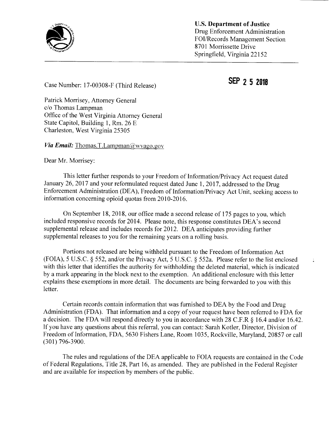

U.S. Department of Justice Drug Enforcement Administration FOI/Records Management Section<br>8701 Morrissette Drive Springfield, Virginia 22152

÷.

SEP <sup>2</sup> <sup>5</sup> <sup>2018</sup> Case Number: 17-00308-F (Third Release)

Patrick Morrisey, Attorney General c/o Thomas Lampman Office of the West Virginia Attorney General State Capitol, Building 1, Rm. 26 E Charleston, West Virginia 25305

*Via Email:* Thomas.T.Lampman@wvago.gov

Dear Mr. Morrisey:

This letter further responds to your Freedom of Information/Privacy Act request dated January 26, <sup>2017</sup> and your reformulated request dated June 1, 2017, addressed to the Drug Enforcement Administration (DEA), Freedom of Information/Privacy Act Unit, seeking access to information concerning opioid quotas from 2010-2016.

On September 18, 2018, our office made <sup>a</sup> second release of <sup>175</sup> pages to you, which included responsive records for 2014. Please note, this response constitutes DEA's second supplemental release and includes records for 2012. DEA anticipates providing further supplemental releases to you for the remaining years on <sup>a</sup> rolling basis.

Portions not released are being withheld pursuant to the Freedom of Information Act (FOIA), 5 U.S.C. § 552, and/or the Privacy Act, 5 U.S.C. § 552a. Please refer to the list enclosed with this letter that identifies the authority for withholding the deleted material, which is indicated by <sup>a</sup> mark appearing in the block next to the exemption. An additional enclosure with this letter explains these exemptions in more detail. The documents are being forwarded to you with this letter.

Certain records contain information that was furnished to DEA by the Food and Drug Administration (FDA). That information and <sup>a</sup> copy of your request have been referred to FDA for <sup>a</sup> decision. The FDA will respond directly to you in accordance with 28 C.F.R § 16.4 and/or 16.42. If you have any questions about this referral, you can contact: Sarah Kotler, Director, Division of Freedom of Information, FDA, 5630 Fishers Lane, Room 1035, Rockville, Maryland, 20857 or call (301)796-3900.

The rules and regulations of the DEA applicable to FOIA requests are contained in the Code of Federal Regulations, Title 28, Part 16, as amended. They are published in the Federal Register and are available for inspection by members of the public.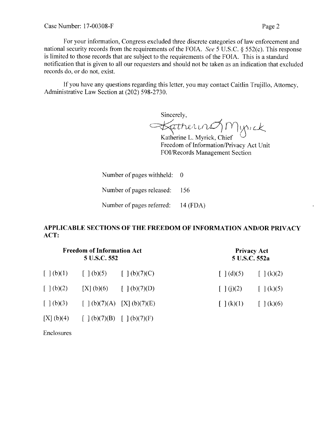For your information, Congress excluded three discrete categories of law enforcement and national security records from the requirements of the FOIA. See <sup>5</sup> U.S.C. § 552(c). This response is limited to those records that are subject to the requirements of the FOIA. This is <sup>a</sup> standard notification that is given to all our requesters and should not be taken as an indication that excluded records do, or do not, exist.

If you have any questions regarding this letter, you may contact Caitlin Trujillo, Attorney, Administrative Law Section at (202) 598-2730.

Sincerely,  $\prec$ atherin $\mathcal{O}$  Myrick

Katherine L. Myrick, Chief  $\cup$ Freedom of Information/Privacy Act Unit FOI/Records Management Section

Number of pages withheld: 0

Number of pages released: 156

Number of pages referred: 14 (FDA)

## APPLICABLE SECTIONS OF THE FREEDOM OF INFORMATION AND/OR PRIVACY ACT:

| <b>Freedom of Information Act</b><br>5 U.S.C. 552 |                                                                                                                      |                          | <b>Privacy Act</b><br>5 U.S.C. 552a |                          |
|---------------------------------------------------|----------------------------------------------------------------------------------------------------------------------|--------------------------|-------------------------------------|--------------------------|
|                                                   | $\begin{bmatrix}   & (b)(1) \\   & (c)(2) \end{bmatrix}$ $\begin{bmatrix}   & (b)(5) \\   & (b)(7)(C) \end{bmatrix}$ |                          | $\lceil (d)(5) \rceil$              | $\lceil (k)(2) \rceil$   |
| $\lceil \ \rfloor$ (b)(2)                         |                                                                                                                      | [X] (b)(6) [ ] (b)(7)(D) | $\lceil (j)(2) \rceil$              | $\lceil (k)(5) \rceil$   |
|                                                   | $[ ] (b)(3) [ ] (b)(7)(A) [X] (b)(7)(E)$                                                                             |                          | $\lceil (k)(1) \rceil$              | $\lceil \ \rceil$ (k)(6) |
| [X] (b)(4)                                        | $\left[\begin{array}{cc} (b)(7)(B) & (d)(7)(F) \end{array}\right]$                                                   |                          |                                     |                          |

Enclosures